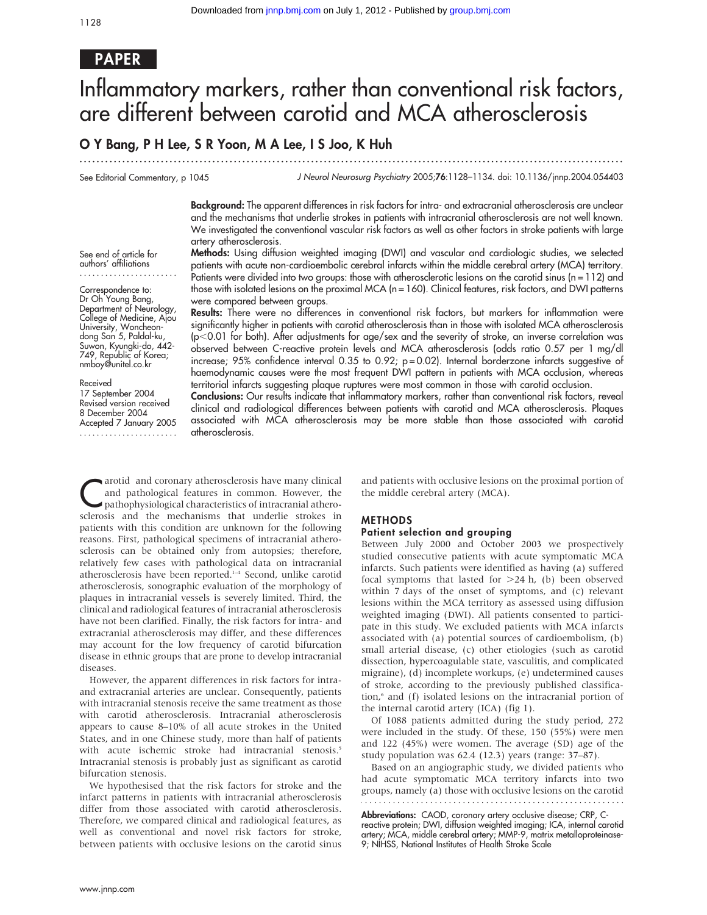## PAPER

# Inflammatory markers, rather than conventional risk factors, are different between carotid and MCA atherosclerosis

...............................................................................................................................

## O Y Bang, P H Lee, S R Yoon, M A Lee, I S Joo, K Huh

See Editorial Commentary, p 1045

J Neurol Neurosurg Psychiatry 2005;76:1128–1134. doi: 10.1136/jnnp.2004.054403

Background: The apparent differences in risk factors for intra- and extracranial atherosclerosis are unclear and the mechanisms that underlie strokes in patients with intracranial atherosclerosis are not well known. We investigated the conventional vascular risk factors as well as other factors in stroke patients with large artery atherosclerosis.

See end of article for authors' affiliations .......................

Correspondence to: Dr Oh Young Bang, Department of Neurology, College of Medicine, Ajou University, Woncheondong San 5, Paldal-ku, Suwon, Kyungki-do, 442- 749, Republic of Korea;

nmboy@unitel.co.kr Received 17 September 2004 Revised version received 8 December 2004

Accepted 7 January 2005 ....................... Methods: Using diffusion weighted imaging (DWI) and vascular and cardiologic studies, we selected patients with acute non-cardioembolic cerebral infarcts within the middle cerebral artery (MCA) territory. Patients were divided into two groups: those with atherosclerotic lesions on the carotid sinus (n = 112) and those with isolated lesions on the proximal MCA (n = 160). Clinical features, risk factors, and DWI patterns were compared between groups.

Results: There were no differences in conventional risk factors, but markers for inflammation were significantly higher in patients with carotid atherosclerosis than in those with isolated MCA atherosclerosis (p,0.01 for both). After adjustments for age/sex and the severity of stroke, an inverse correlation was observed between C-reactive protein levels and MCA atherosclerosis (odds ratio 0.57 per 1 mg/dl increase; 95% confidence interval 0.35 to 0.92; p=0.02). Internal borderzone infarcts suggestive of haemodynamic causes were the most frequent DWI pattern in patients with MCA occlusion, whereas territorial infarcts suggesting plaque ruptures were most common in those with carotid occlusion.

Conclusions: Our results indicate that inflammatory markers, rather than conventional risk factors, reveal clinical and radiological differences between patients with carotid and MCA atherosclerosis. Plaques associated with MCA atherosclerosis may be more stable than those associated with carotid atherosclerosis.

arotid and coronary atherosclerosis have many clinical<br>and pathological features in common. However, the<br>pathophysiological characteristics of intracranial athero-<br>selencies and the probability at the underlie streles in and pathological features in common. However, the sclerosis and the mechanisms that underlie strokes in patients with this condition are unknown for the following reasons. First, pathological specimens of intracranial atherosclerosis can be obtained only from autopsies; therefore, relatively few cases with pathological data on intracranial atherosclerosis have been reported.<sup>1-4</sup> Second, unlike carotid atherosclerosis, sonographic evaluation of the morphology of plaques in intracranial vessels is severely limited. Third, the clinical and radiological features of intracranial atherosclerosis have not been clarified. Finally, the risk factors for intra- and extracranial atherosclerosis may differ, and these differences may account for the low frequency of carotid bifurcation disease in ethnic groups that are prone to develop intracranial diseases.

However, the apparent differences in risk factors for intraand extracranial arteries are unclear. Consequently, patients with intracranial stenosis receive the same treatment as those with carotid atherosclerosis. Intracranial atherosclerosis appears to cause 8–10% of all acute strokes in the United States, and in one Chinese study, more than half of patients with acute ischemic stroke had intracranial stenosis.<sup>5</sup> Intracranial stenosis is probably just as significant as carotid bifurcation stenosis.

We hypothesised that the risk factors for stroke and the infarct patterns in patients with intracranial atherosclerosis differ from those associated with carotid atherosclerosis. Therefore, we compared clinical and radiological features, as well as conventional and novel risk factors for stroke, between patients with occlusive lesions on the carotid sinus

and patients with occlusive lesions on the proximal portion of the middle cerebral artery (MCA).

#### METHODS

#### Patient selection and grouping

Between July 2000 and October 2003 we prospectively studied consecutive patients with acute symptomatic MCA infarcts. Such patients were identified as having (a) suffered focal symptoms that lasted for  $>24$  h, (b) been observed within 7 days of the onset of symptoms, and (c) relevant lesions within the MCA territory as assessed using diffusion weighted imaging (DWI). All patients consented to participate in this study. We excluded patients with MCA infarcts associated with (a) potential sources of cardioembolism, (b) small arterial disease, (c) other etiologies (such as carotid dissection, hypercoagulable state, vasculitis, and complicated migraine), (d) incomplete workups, (e) undetermined causes of stroke, according to the previously published classification,<sup>6</sup> and (f) isolated lesions on the intracranial portion of the internal carotid artery (ICA) (fig 1).

Of 1088 patients admitted during the study period, 272 were included in the study. Of these, 150 (55%) were men and 122 (45%) were women. The average (SD) age of the study population was 62.4 (12.3) years (range: 37–87).

Based on an angiographic study, we divided patients who had acute symptomatic MCA territory infarcts into two groups, namely (a) those with occlusive lesions on the carotid 

Abbreviations: CAOD, coronary artery occlusive disease; CRP, C-

reactive protein; DWI, diffusion weighted imaging; ICA, internal carotid artery; MCA, middle cerebral artery; MMP-9, matrix metalloproteinase-9; NIHSS, National Institutes of Health Stroke Scale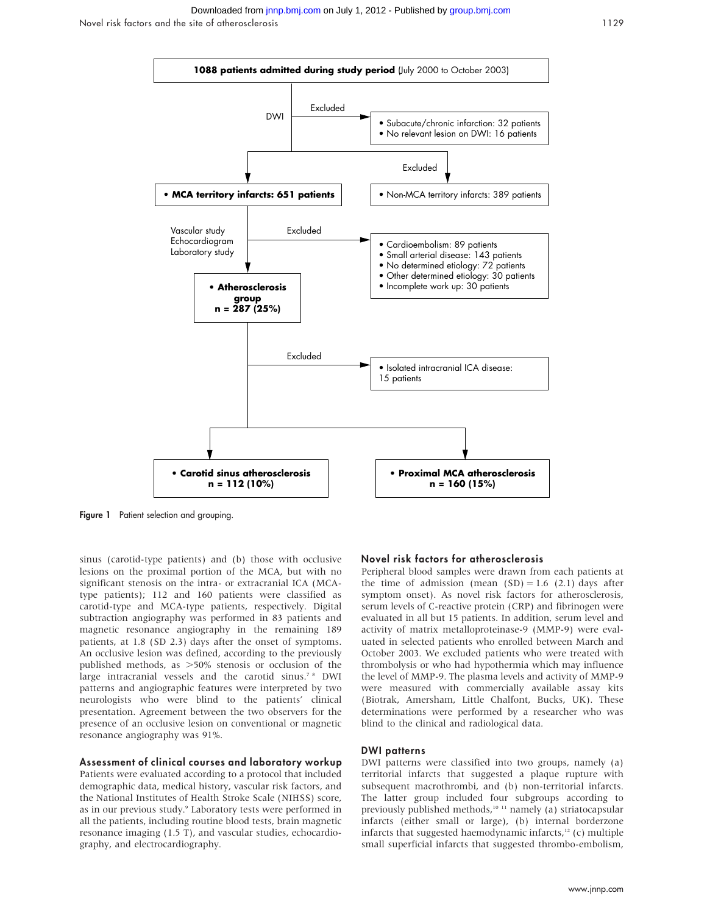

Figure 1 Patient selection and grouping.

sinus (carotid-type patients) and (b) those with occlusive lesions on the proximal portion of the MCA, but with no significant stenosis on the intra- or extracranial ICA (MCAtype patients); 112 and 160 patients were classified as carotid-type and MCA-type patients, respectively. Digital subtraction angiography was performed in 83 patients and magnetic resonance angiography in the remaining 189 patients, at 1.8 (SD 2.3) days after the onset of symptoms. An occlusive lesion was defined, according to the previously published methods, as  $>50\%$  stenosis or occlusion of the large intracranial vessels and the carotid sinus.<sup>78</sup> DWI patterns and angiographic features were interpreted by two neurologists who were blind to the patients' clinical presentation. Agreement between the two observers for the presence of an occlusive lesion on conventional or magnetic resonance angiography was 91%.

#### Assessment of clinical courses and laboratory workup

Patients were evaluated according to a protocol that included demographic data, medical history, vascular risk factors, and the National Institutes of Health Stroke Scale (NIHSS) score, as in our previous study.<sup>9</sup> Laboratory tests were performed in all the patients, including routine blood tests, brain magnetic resonance imaging (1.5 T), and vascular studies, echocardiography, and electrocardiography.

#### Novel risk factors for atherosclerosis

Peripheral blood samples were drawn from each patients at the time of admission (mean  $(SD) = 1.6$  (2.1) days after symptom onset). As novel risk factors for atherosclerosis, serum levels of C-reactive protein (CRP) and fibrinogen were evaluated in all but 15 patients. In addition, serum level and activity of matrix metalloproteinase-9 (MMP-9) were evaluated in selected patients who enrolled between March and October 2003. We excluded patients who were treated with thrombolysis or who had hypothermia which may influence the level of MMP-9. The plasma levels and activity of MMP-9 were measured with commercially available assay kits (Biotrak, Amersham, Little Chalfont, Bucks, UK). These determinations were performed by a researcher who was blind to the clinical and radiological data.

#### DWI patterns

DWI patterns were classified into two groups, namely (a) territorial infarcts that suggested a plaque rupture with subsequent macrothrombi, and (b) non-territorial infarcts. The latter group included four subgroups according to previously published methods,<sup>10 11</sup> namely (a) striatocapsular infarcts (either small or large), (b) internal borderzone infarcts that suggested haemodynamic infarcts, $12$  (c) multiple small superficial infarcts that suggested thrombo-embolism,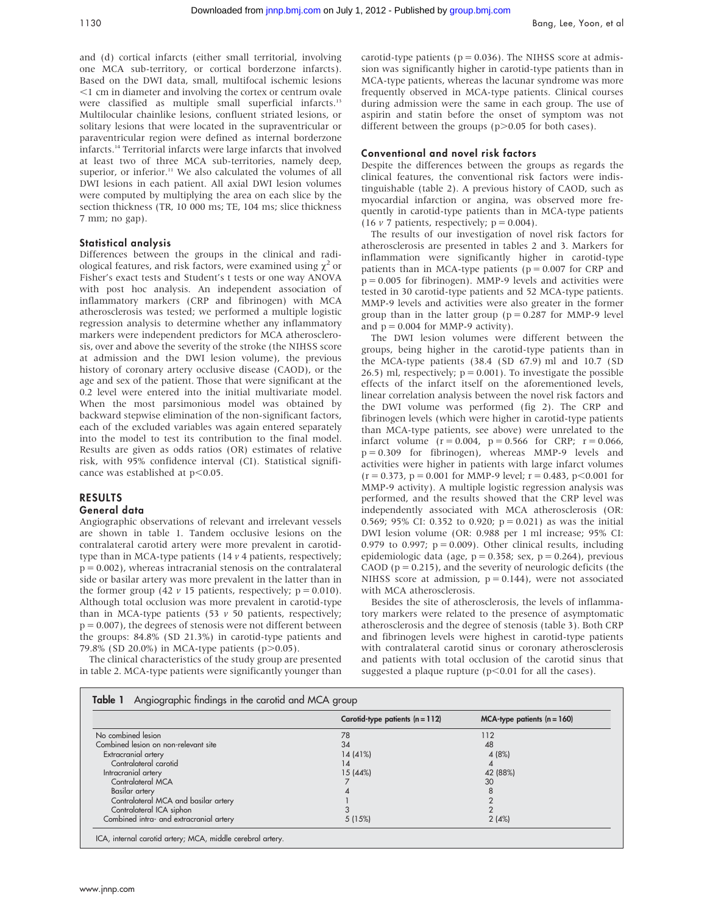and (d) cortical infarcts (either small territorial, involving one MCA sub-territory, or cortical borderzone infarcts). Based on the DWI data, small, multifocal ischemic lesions  $<$ 1 cm in diameter and involving the cortex or centrum ovale were classified as multiple small superficial infarcts.<sup>13</sup> Multilocular chainlike lesions, confluent striated lesions, or solitary lesions that were located in the supraventricular or paraventricular region were defined as internal borderzone infarcts.14 Territorial infarcts were large infarcts that involved at least two of three MCA sub-territories, namely deep, superior, or inferior.<sup>11</sup> We also calculated the volumes of all DWI lesions in each patient. All axial DWI lesion volumes were computed by multiplying the area on each slice by the section thickness (TR, 10 000 ms; TE, 104 ms; slice thickness 7 mm; no gap).

## Statistical analysis

Differences between the groups in the clinical and radiological features, and risk factors, were examined using  $\chi^2$  or Fisher's exact tests and Student's t tests or one way ANOVA with post hoc analysis. An independent association of inflammatory markers (CRP and fibrinogen) with MCA atherosclerosis was tested; we performed a multiple logistic regression analysis to determine whether any inflammatory markers were independent predictors for MCA atherosclerosis, over and above the severity of the stroke (the NIHSS score at admission and the DWI lesion volume), the previous history of coronary artery occlusive disease (CAOD), or the age and sex of the patient. Those that were significant at the 0.2 level were entered into the initial multivariate model. When the most parsimonious model was obtained by backward stepwise elimination of the non-significant factors, each of the excluded variables was again entered separately into the model to test its contribution to the final model. Results are given as odds ratios (OR) estimates of relative risk, with 95% confidence interval (CI). Statistical significance was established at  $p<0.05$ .

#### RESULTS General data

Angiographic observations of relevant and irrelevant vessels are shown in table 1. Tandem occlusive lesions on the contralateral carotid artery were more prevalent in carotidtype than in MCA-type patients (14 v 4 patients, respectively;  $p = 0.002$ ), whereas intracranial stenosis on the contralateral side or basilar artery was more prevalent in the latter than in the former group (42  $\nu$  15 patients, respectively;  $p = 0.010$ ). Although total occlusion was more prevalent in carotid-type than in MCA-type patients (53  $\nu$  50 patients, respectively;  $p = 0.007$ ), the degrees of stenosis were not different between the groups: 84.8% (SD 21.3%) in carotid-type patients and 79.8% (SD 20.0%) in MCA-type patients ( $p > 0.05$ ).

The clinical characteristics of the study group are presented in table 2. MCA-type patients were significantly younger than carotid-type patients ( $p = 0.036$ ). The NIHSS score at admission was significantly higher in carotid-type patients than in MCA-type patients, whereas the lacunar syndrome was more frequently observed in MCA-type patients. Clinical courses during admission were the same in each group. The use of aspirin and statin before the onset of symptom was not different between the groups  $(p>0.05$  for both cases).

## Conventional and novel risk factors

Despite the differences between the groups as regards the clinical features, the conventional risk factors were indistinguishable (table 2). A previous history of CAOD, such as myocardial infarction or angina, was observed more frequently in carotid-type patients than in MCA-type patients (16  $\nu$  7 patients, respectively;  $p = 0.004$ ).

The results of our investigation of novel risk factors for atherosclerosis are presented in tables 2 and 3. Markers for inflammation were significantly higher in carotid-type patients than in MCA-type patients ( $p = 0.007$  for CRP and  $p = 0.005$  for fibrinogen). MMP-9 levels and activities were tested in 30 carotid-type patients and 52 MCA-type patients. MMP-9 levels and activities were also greater in the former group than in the latter group ( $p = 0.287$  for MMP-9 level and  $p = 0.004$  for MMP-9 activity).

The DWI lesion volumes were different between the groups, being higher in the carotid-type patients than in the MCA-type patients (38.4 (SD 67.9) ml and 10.7 (SD 26.5) ml, respectively;  $p = 0.001$ ). To investigate the possible effects of the infarct itself on the aforementioned levels, linear correlation analysis between the novel risk factors and the DWI volume was performed (fig 2). The CRP and fibrinogen levels (which were higher in carotid-type patients than MCA-type patients, see above) were unrelated to the infarct volume  $(r = 0.004, p = 0.566$  for CRP;  $r = 0.066$ , p = 0.309 for fibrinogen), whereas MMP-9 levels and activities were higher in patients with large infarct volumes  $(r = 0.373, p = 0.001$  for MMP-9 level;  $r = 0.483, p < 0.001$  for MMP-9 activity). A multiple logistic regression analysis was performed, and the results showed that the CRP level was independently associated with MCA atherosclerosis (OR: 0.569; 95% CI: 0.352 to 0.920;  $p = 0.021$ ) as was the initial DWI lesion volume (OR: 0.988 per 1 ml increase; 95% CI: 0.979 to 0.997;  $p = 0.009$ ). Other clinical results, including epidemiologic data (age,  $p = 0.358$ ; sex,  $p = 0.264$ ), previous CAOD ( $p = 0.215$ ), and the severity of neurologic deficits (the NIHSS score at admission,  $p = 0.144$ ), were not associated with MCA atherosclerosis.

Besides the site of atherosclerosis, the levels of inflammatory markers were related to the presence of asymptomatic atherosclerosis and the degree of stenosis (table 3). Both CRP and fibrinogen levels were highest in carotid-type patients with contralateral carotid sinus or coronary atherosclerosis and patients with total occlusion of the carotid sinus that suggested a plaque rupture  $(p<0.01$  for all the cases).

|                                         | Carotid-type patients $(n = 112)$ | $MCA$ -type patients $(n = 160)$ |
|-----------------------------------------|-----------------------------------|----------------------------------|
| No combined lesion                      | 78                                | 112                              |
| Combined lesion on non-relevant site    | 34                                | 48                               |
| Extracranial artery                     | 14 (41%)                          | 4 (8%)                           |
| Contralateral carotid                   | 14                                |                                  |
| Intracranial artery                     | 15 (44%)                          | 42 (88%)                         |
| Contralateral MCA                       |                                   | 30                               |
| Basilar artery                          |                                   |                                  |
| Contralateral MCA and basilar artery    |                                   |                                  |
| Contralateral ICA siphon                |                                   |                                  |
| Combined intra- and extracranial artery | 5(15%)                            | 2(4%)                            |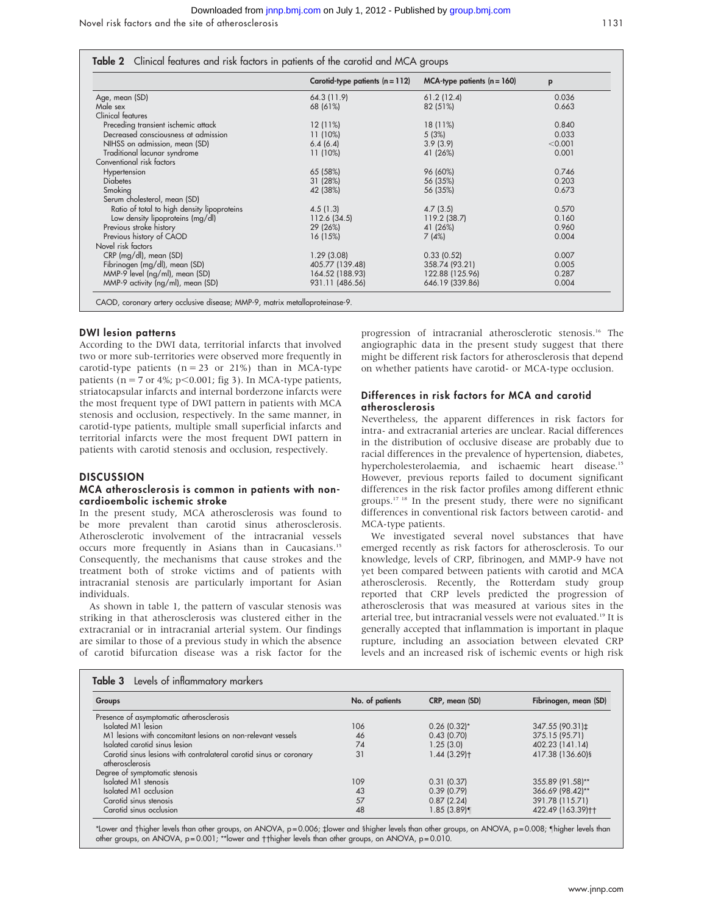|                                             | Carotid-type patients $(n = 112)$ | $MCA$ -type patients $(n = 160)$ | p       |
|---------------------------------------------|-----------------------------------|----------------------------------|---------|
| Age, mean (SD)                              | 64.3 (11.9)                       | 61.2(12.4)                       | 0.036   |
| Male sex                                    | 68 (61%)                          | 82 (51%)                         | 0.663   |
| Clinical features                           |                                   |                                  |         |
| Preceding transient ischemic attack         | $12(11\%)$                        | 18 (11%)                         | 0.840   |
| Decreased consciousness at admission        | 11 (10%)                          | 5(3%)                            | 0.033   |
| NIHSS on admission, mean (SD)               | 6.4(6.4)                          | 3.9(3.9)                         | < 0.001 |
| Traditional lacunar syndrome                | 11 (10%)                          | 41 (26%)                         | 0.001   |
| Conventional risk factors                   |                                   |                                  |         |
| Hypertension                                | 65 (58%)                          | 96 (60%)                         | 0.746   |
| <b>Diabetes</b>                             | 31 (28%)                          | 56 (35%)                         | 0.203   |
| Smoking                                     | 42 (38%)                          | 56 (35%)                         | 0.673   |
| Serum cholesterol, mean (SD)                |                                   |                                  |         |
| Ratio of total to high density lipoproteins | 4.5(1.3)                          | 4.7(3.5)                         | 0.570   |
| Low density lipoproteins (mg/dl)            | 112.6 (34.5)                      | 119.2 (38.7)                     | 0.160   |
| Previous stroke history                     | 29 (26%)                          | 41 (26%)                         | 0.960   |
| Previous history of CAOD                    | 16 (15%)                          | 7(4%)                            | 0.004   |
| Novel risk factors                          |                                   |                                  |         |
| CRP (mg/dl), mean (SD)                      | 1.29(3.08)                        | 0.33(0.52)                       | 0.007   |
| Fibrinogen (mg/dl), mean (SD)               | 405.77 (139.48)                   | 358.74 (93.21)                   | 0.005   |
| MMP-9 level (ng/ml), mean (SD)              | 164.52 (188.93)                   | 122.88 (125.96)                  | 0.287   |
| MMP-9 activity (ng/ml), mean (SD)           | 931.11 (486.56)                   | 646.19 (339.86)                  | 0.004   |

#### DWI lesion patterns

According to the DWI data, territorial infarcts that involved two or more sub-territories were observed more frequently in carotid-type patients ( $n = 23$  or 21%) than in MCA-type patients ( $n = 7$  or 4%;  $p \le 0.001$ ; fig 3). In MCA-type patients, striatocapsular infarcts and internal borderzone infarcts were the most frequent type of DWI pattern in patients with MCA stenosis and occlusion, respectively. In the same manner, in carotid-type patients, multiple small superficial infarcts and territorial infarcts were the most frequent DWI pattern in patients with carotid stenosis and occlusion, respectively.

#### **DISCUSSION**

#### MCA atherosclerosis is common in patients with noncardioembolic ischemic stroke

In the present study, MCA atherosclerosis was found to be more prevalent than carotid sinus atherosclerosis. Atherosclerotic involvement of the intracranial vessels occurs more frequently in Asians than in Caucasians.15 Consequently, the mechanisms that cause strokes and the treatment both of stroke victims and of patients with intracranial stenosis are particularly important for Asian individuals.

As shown in table 1, the pattern of vascular stenosis was striking in that atherosclerosis was clustered either in the extracranial or in intracranial arterial system. Our findings are similar to those of a previous study in which the absence of carotid bifurcation disease was a risk factor for the progression of intracranial atherosclerotic stenosis.16 The angiographic data in the present study suggest that there might be different risk factors for atherosclerosis that depend on whether patients have carotid- or MCA-type occlusion.

#### Differences in risk factors for MCA and carotid atherosclerosis

Nevertheless, the apparent differences in risk factors for intra- and extracranial arteries are unclear. Racial differences in the distribution of occlusive disease are probably due to racial differences in the prevalence of hypertension, diabetes, hypercholesterolaemia, and ischaemic heart disease.15 However, previous reports failed to document significant differences in the risk factor profiles among different ethnic groups.17 18 In the present study, there were no significant differences in conventional risk factors between carotid- and MCA-type patients.

We investigated several novel substances that have emerged recently as risk factors for atherosclerosis. To our knowledge, levels of CRP, fibrinogen, and MMP-9 have not yet been compared between patients with carotid and MCA atherosclerosis. Recently, the Rotterdam study group reported that CRP levels predicted the progression of atherosclerosis that was measured at various sites in the arterial tree, but intracranial vessels were not evaluated.<sup>19</sup> It is generally accepted that inflammation is important in plaque rupture, including an association between elevated CRP levels and an increased risk of ischemic events or high risk

| Groups                                                                                | No. of patients | CRP, mean (SD) | Fibrinogen, mean (SD) |
|---------------------------------------------------------------------------------------|-----------------|----------------|-----------------------|
| Presence of asymptomatic atherosclerosis                                              |                 |                |                       |
| Isolated M1 lesion                                                                    | 106             | $0.26$ (0.32)* | 347.55 (90.31) $\pm$  |
| M1 lesions with concomitant lesions on non-relevant vessels                           | 46              | 0.43(0.70)     | 375.15 (95.71)        |
| Isolated carotid sinus lesion                                                         | 74              | 1.25(3.0)      | 402.23 (141.14)       |
| Carotid sinus lesions with contralateral carotid sinus or coronary<br>atherosclerosis | 31              | $1.44(3.29)$ t | 417.38 (136.60)§      |
| Degree of symptomatic stenosis                                                        |                 |                |                       |
| Isolated M1 stenosis                                                                  | 109             | 0.31(0.37)     | 355.89 (91.58)**      |
| Isolated M1 occlusion                                                                 | 43              | 0.39(0.79)     | 366.69 (98.42)**      |
| Carotid sinus stenosis                                                                | 57              | 0.87(2.24)     | 391.78 (115.71)       |
| Carotid sinus occlusion                                                               | 48              | $1.85(3.89)$ ¶ | 422.49 (163.39)++     |

\*Lower and †higher levels than other groups, on ANOVA, p=0.006; ‡lower and §higher levels than other groups, on ANOVA, p=0.008; ¶higher levels than other groups, on ANOVA, p=0.001; \*\*lower and †thigher levels than other groups, on ANOVA, p=0.010.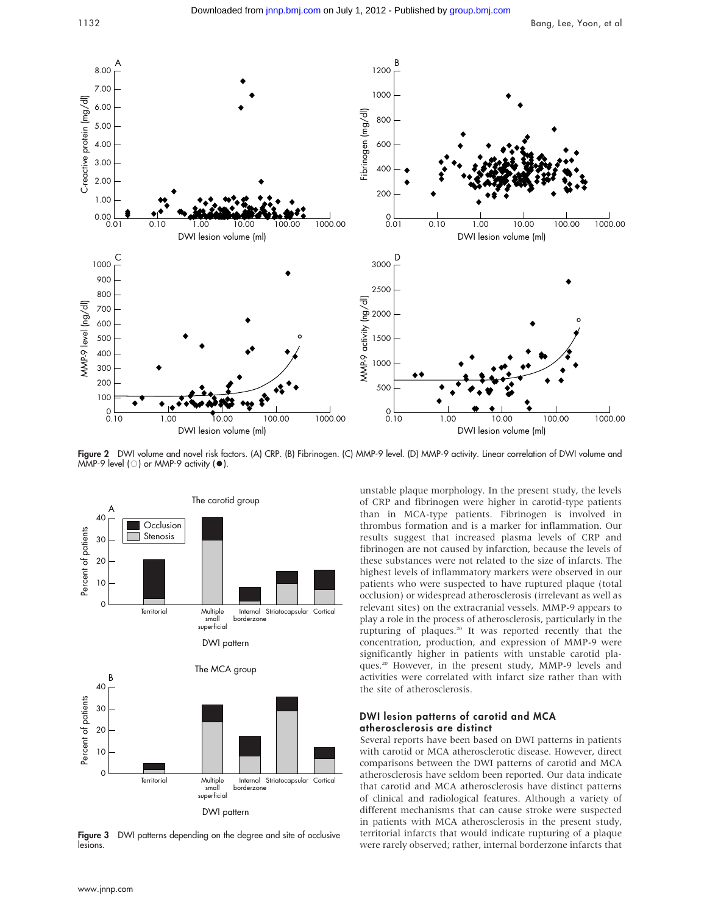

Figure 2 DWI volume and novel risk factors. (A) CRP. (B) Fibrinogen. (C) MMP-9 level. (D) MMP-9 activity. Linear correlation of DWI volume and MMP-9 level ( $\circ$ ) or MMP-9 activity ( $\bullet$ ).



Figure 3 DWI patterns depending on the degree and site of occlusive lesions.

unstable plaque morphology. In the present study, the levels of CRP and fibrinogen were higher in carotid-type patients than in MCA-type patients. Fibrinogen is involved in thrombus formation and is a marker for inflammation. Our results suggest that increased plasma levels of CRP and fibrinogen are not caused by infarction, because the levels of these substances were not related to the size of infarcts. The highest levels of inflammatory markers were observed in our patients who were suspected to have ruptured plaque (total occlusion) or widespread atherosclerosis (irrelevant as well as relevant sites) on the extracranial vessels. MMP-9 appears to play a role in the process of atherosclerosis, particularly in the rupturing of plaques.20 It was reported recently that the concentration, production, and expression of MMP-9 were significantly higher in patients with unstable carotid plaques.20 However, in the present study, MMP-9 levels and activities were correlated with infarct size rather than with the site of atherosclerosis.

#### DWI lesion patterns of carotid and MCA atherosclerosis are distinct

Several reports have been based on DWI patterns in patients with carotid or MCA atherosclerotic disease. However, direct comparisons between the DWI patterns of carotid and MCA atherosclerosis have seldom been reported. Our data indicate that carotid and MCA atherosclerosis have distinct patterns of clinical and radiological features. Although a variety of different mechanisms that can cause stroke were suspected in patients with MCA atherosclerosis in the present study, territorial infarcts that would indicate rupturing of a plaque were rarely observed; rather, internal borderzone infarcts that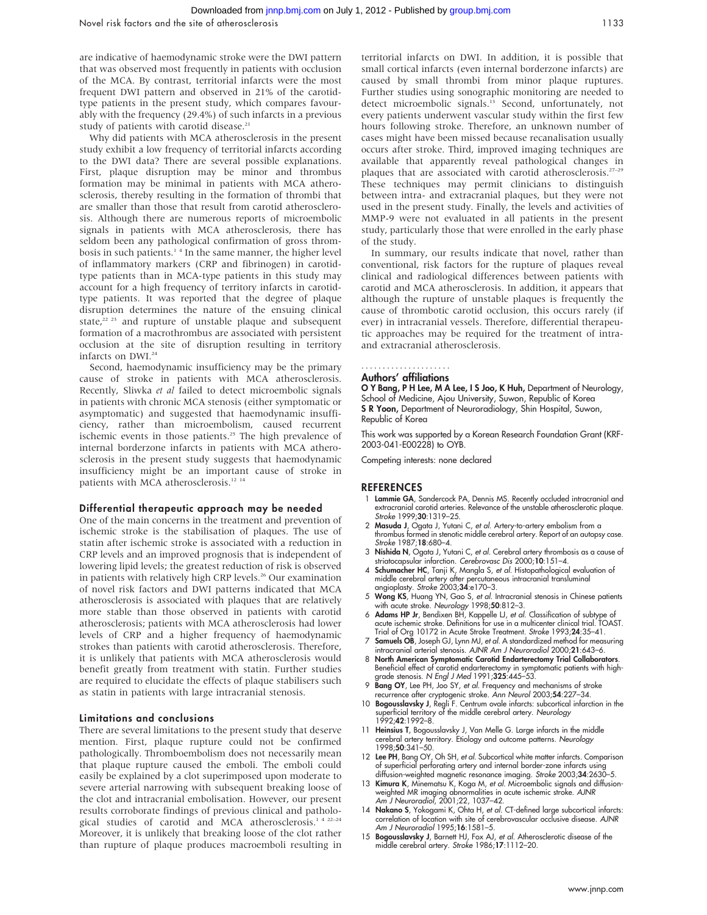are indicative of haemodynamic stroke were the DWI pattern that was observed most frequently in patients with occlusion of the MCA. By contrast, territorial infarcts were the most frequent DWI pattern and observed in 21% of the carotidtype patients in the present study, which compares favourably with the frequency (29.4%) of such infarcts in a previous study of patients with carotid disease.<sup>21</sup>

Why did patients with MCA atherosclerosis in the present study exhibit a low frequency of territorial infarcts according to the DWI data? There are several possible explanations. First, plaque disruption may be minor and thrombus formation may be minimal in patients with MCA atherosclerosis, thereby resulting in the formation of thrombi that are smaller than those that result from carotid atherosclerosis. Although there are numerous reports of microembolic signals in patients with MCA atherosclerosis, there has seldom been any pathological confirmation of gross thrombosis in such patients.<sup>14</sup> In the same manner, the higher level of inflammatory markers (CRP and fibrinogen) in carotidtype patients than in MCA-type patients in this study may account for a high frequency of territory infarcts in carotidtype patients. It was reported that the degree of plaque disruption determines the nature of the ensuing clinical state,<sup>22</sup> <sup>23</sup> and rupture of unstable plaque and subsequent formation of a macrothrombus are associated with persistent occlusion at the site of disruption resulting in territory infarcts on DWI.24

Second, haemodynamic insufficiency may be the primary cause of stroke in patients with MCA atherosclerosis. Recently, Sliwka et al failed to detect microembolic signals in patients with chronic MCA stenosis (either symptomatic or asymptomatic) and suggested that haemodynamic insufficiency, rather than microembolism, caused recurrent ischemic events in those patients.<sup>25</sup> The high prevalence of internal borderzone infarcts in patients with MCA atherosclerosis in the present study suggests that haemodynamic insufficiency might be an important cause of stroke in patients with MCA atherosclerosis.<sup>12 14</sup>

#### Differential therapeutic approach may be needed

One of the main concerns in the treatment and prevention of ischemic stroke is the stabilisation of plaques. The use of statin after ischemic stroke is associated with a reduction in CRP levels and an improved prognosis that is independent of lowering lipid levels; the greatest reduction of risk is observed in patients with relatively high CRP levels.<sup>26</sup> Our examination of novel risk factors and DWI patterns indicated that MCA atherosclerosis is associated with plaques that are relatively more stable than those observed in patients with carotid atherosclerosis; patients with MCA atherosclerosis had lower levels of CRP and a higher frequency of haemodynamic strokes than patients with carotid atherosclerosis. Therefore, it is unlikely that patients with MCA atherosclerosis would benefit greatly from treatment with statin. Further studies are required to elucidate the effects of plaque stabilisers such as statin in patients with large intracranial stenosis.

#### Limitations and conclusions

There are several limitations to the present study that deserve mention. First, plaque rupture could not be confirmed pathologically. Thromboembolism does not necessarily mean that plaque rupture caused the emboli. The emboli could easily be explained by a clot superimposed upon moderate to severe arterial narrowing with subsequent breaking loose of the clot and intracranial embolisation. However, our present results corroborate findings of previous clinical and pathological studies of carotid and MCA atherosclerosis.<sup>1 4 22-24</sup> Moreover, it is unlikely that breaking loose of the clot rather than rupture of plaque produces macroemboli resulting in territorial infarcts on DWI. In addition, it is possible that small cortical infarcts (even internal borderzone infarcts) are caused by small thrombi from minor plaque ruptures. Further studies using sonographic monitoring are needed to detect microembolic signals.<sup>13</sup> Second, unfortunately, not every patients underwent vascular study within the first few hours following stroke. Therefore, an unknown number of cases might have been missed because recanalisation usually occurs after stroke. Third, improved imaging techniques are available that apparently reveal pathological changes in plaques that are associated with carotid atherosclerosis.<sup>27-29</sup> These techniques may permit clinicians to distinguish between intra- and extracranial plaques, but they were not used in the present study. Finally, the levels and activities of MMP-9 were not evaluated in all patients in the present study, particularly those that were enrolled in the early phase of the study.

In summary, our results indicate that novel, rather than conventional, risk factors for the rupture of plaques reveal clinical and radiological differences between patients with carotid and MCA atherosclerosis. In addition, it appears that although the rupture of unstable plaques is frequently the cause of thrombotic carotid occlusion, this occurs rarely (if ever) in intracranial vessels. Therefore, differential therapeutic approaches may be required for the treatment of intraand extracranial atherosclerosis.

## .....................

## Authors' affiliations

O Y Bang, P H Lee, M A Lee, I S Joo, K Huh, Department of Neurology, School of Medicine, Ajou University, Suwon, Republic of Korea S R Yoon, Department of Neuroradiology, Shin Hospital, Suwon, Republic of Korea

This work was supported by a Korean Research Foundation Grant (KRF-2003-041-E00228) to OYB.

Competing interests: none declared

#### **REFERENCES**

- 1 Lammie GA, Sandercock PA, Dennis MS. Recently occluded intracranial and extracranial carotid arteries. Relevance of the unstable atherosclerotic plaque. Stroke 1999;30:1319-25.
- 2 Masuda J, Ogata J, Yutani C, et al. Artery-to-artery embolism from a thrombus formed in stenotic middle cerebral artery. Report of an autopsy case. Stroke 1987;18:680–4.
- 3 Nishida N, Ogata J, Yutani C, et al. Cerebral artery thrombosis as a cause of striatocapsular infarction. Cerebrovasc Dis 2000;10:151–4.
- 4 Schumacher HC, Tanji K, Mangla S, et al. Histopathological evaluation of middle cerebral artery after percutaneous intracranial transluminal angioplasty. Stroke 2003;34:e170-3.
- 5 Wong KS, Huang YN, Gao S, et al. Intracranial stenosis in Chinese patients with acute stroke. Neurology 1998;50:812-3.
- 6 Adams HP Jr, Bendixen BH, Kappelle LJ, et al. Classification of subtype of acute ischemic stroke. Definitions for use in a multicenter clinical trial. TOAST. Trial of Org 10172 in Acute Stroke Treatment. Stroke 1993;24:35–41.
- Samuels OB, Joseph GJ, Lynn MJ, et al. A standardized method for measuring intracranial arterial stenosis. AJNR Am J Neuroradiol 2000;21:643–6.
- 8 North American Symptomatic Carotid Endarterectomy Trial Collaborators. Beneficial effect of carotid endarterectomy in symptomatic patients with highgrade stenosis. N Engl J Med 1991;325:445-53.
- 9 Bang OY, Lee PH, Joo SY, et al. Frequency and mechanisms of stroke recurrence after cryptogenic stroke. Ann Neurol 2003;54:227–34.
- 10 **Bogousslavsky J**, Regli F. Centrum ovale infarcts: subcortical infarction in the superficial territory of the middle cerebral artery. Neurology 1992;42:1992–8.
- 11 Heinsius T, Bogousslavsky J, Van Melle G. Large infarcts in the middle cerebral artery territory. Etiology and outcome patterns. *Neurology*<br>1998;**50**:341–50.
- 12 Lee PH, Bang OY, Oh SH, et al. Subcortical white matter infarcts. Comparison of superficial perforating artery and internal border-zone infarcts using diffusion-weighted magnetic resonance imaging. Stroke 2003;34:2630–5.
- 13 Kimura K, Minematsu K, Koga M, et al. Microembolic signals and diffusionweighted MR imaging abnormalities in acute ischemic stroke. AJNR Am J Neuroradiol, 2001;22, 1037–42.
- 14 Nakano S, Yokogami K, Ohta H, et al. CT-defined large subcortical infarcts: correlation of location with site of cerebrovascular occlusive disease. AJNR<br>Am J Neuroradiol 1995;**16**:1581–5.
- 15 Bogousslavsky J, Barnett HJ, Fox AJ, et al. Atherosclerotic disease of the middle cerebral artery. Stroke 1986;17:1112–20.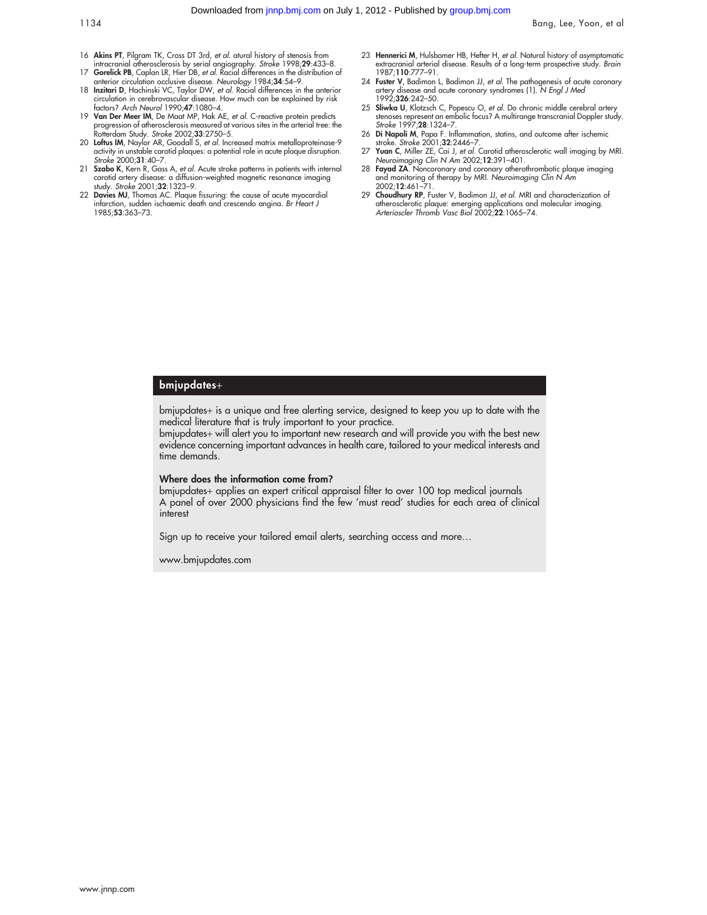- 16 Akins PT, Pilgram TK, Cross DT 3rd, et al. atural history of stenosis from
- intracranial atherosclerosis by serial angiography. Stroke 1998;29:433–8. 17 Gorelick PB, Caplan LR, Hier DB, et al. Racial differences in the distribution of
- anterior circulation occlusive disease. Neurology 1984;34:54–9. 18 Inzitari D, Hachinski VC, Taylor DW, et al. Racial differences in the anterior circulation in cerebrovascular disease. How much can be explained by risk factors? Arch Neurol 1990;47:1080–4.
- 19 Van Der Meer IM, De Maat MP, Hak AE, et al. C-reactive protein predicts progression of atherosclerosis measured at various sites in the arterial tree: the Rotterdam Study. Stroke 2002;33:2750–5.
- 20 Loftus IM, Naylor AR, Goodall S, et al. Increased matrix metalloproteinase-9 activity in unstable carotid plaques: a potential role in acute plaque disruption. Stroke 2000;31:40–7.
- 21 Szabo K, Kern R, Gass A, et al. Acute stroke patterns in patients with internal carotid artery disease: a diffusion-weighted magnetic resonance imaging study. Stroke 2001;32:1323–9.
- 22 Davies MJ, Thomas AC. Plaque fissuring: the cause of acute myocardial infarction, sudden ischaemic death and crescendo angina. Br Heart J 1985;53:363–73.
- 23 Hennerici M, Hulsbomer HB, Hefter H, et al. Natural history of asymptomatic extracranial arterial disease. Results of a long-term prospective study. Brain 1987;110:777–91.
- 24 **Fuster V**, Badimon L, Badimon JJ, *et al.* The pathogenesis of acute coronary<br>artery disease and acute coronary syndromes (1). N *Engl J Med* 1992;326:242–50.
- 25 Sliwka U, Klotzsch C, Popescu O, et al. Do chronic middle cerebral artery stenoses represent an embolic focus? A multirange transcranial Doppler study. Stroke 1997;28:1324–7.
- 26 Di Napoli M, Papa F. Inflammation, statins, and outcome after ischemic stroke. Stroke 2001;32:2446–7.
- 27 Yuan C, Miller ZE, Cai J, et al. Carotid atherosclerotic wall imaging by MRI. Neuroimaging Clin N Am 2002;12:391–401.
- 28 **Fayad ZA**. Noncoronary and coronary atherothrombotic plaque imaging<br>and monitoring of therapy by MRI. Neuroimaging Clin N Am<br>2002;1**2**:461–71.
- 29 Choudhury RP, Fuster V, Badimon JJ, et al. MRI and characterization of atherosclerotic plaque: emerging applications and molecular imaging.<br>Arterioscler Thromb Vasc Biol 2002;**22**:1065–74.

#### bmjupdates+

bmjupdates+ is a unique and free alerting service, designed to keep you up to date with the medical literature that is truly important to your practice.

bmjupdates+ will alert you to important new research and will provide you with the best new evidence concerning important advances in health care, tailored to your medical interests and time demands.

#### Where does the information come from?

bmjupdates+ applies an expert critical appraisal filter to over 100 top medical journals A panel of over 2000 physicians find the few 'must read' studies for each area of clinical interest

Sign up to receive your tailored email alerts, searching access and more…

www.bmjupdates.com